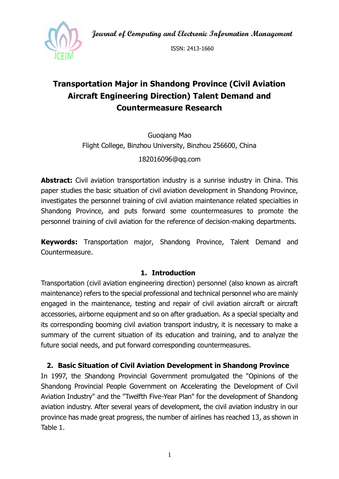**Journal of Computing and Electronic Information Management**



ISSN: 2413-1660

# **Transportation Major in Shandong Province (Civil Aviation Aircraft Engineering Direction) Talent Demand and Countermeasure Research**

Guoqiang Mao Flight College, Binzhou University, Binzhou 256600, China

182016096@qq.com

**Abstract:** Civil aviation transportation industry is a sunrise industry in China. This paper studies the basic situation of civil aviation development in Shandong Province, investigates the personnel training of civil aviation maintenance related specialties in Shandong Province, and puts forward some countermeasures to promote the personnel training of civil aviation for the reference of decision-making departments.

**Keywords:** Transportation major, Shandong Province, Talent Demand and Countermeasure.

#### **1. Introduction**

Transportation (civil aviation engineering direction) personnel (also known as aircraft maintenance) refers to the special professional and technical personnel who are mainly engaged in the maintenance, testing and repair of civil aviation aircraft or aircraft accessories, airborne equipment and so on after graduation. As a special specialty and its corresponding booming civil aviation transport industry, it is necessary to make a summary of the current situation of its education and training, and to analyze the future social needs, and put forward corresponding countermeasures.

**2. Basic Situation of Civil Aviation Development in Shandong Province**

In 1997, the Shandong Provincial Government promulgated the "Opinions of the Shandong Provincial People Government on Accelerating the Development of Civil Aviation Industry" and the "Twelfth Five-Year Plan" for the development of Shandong aviation industry. After several years of development, the civil aviation industry in our province has made great progress, the number of airlines has reached 13, as shown in Table 1.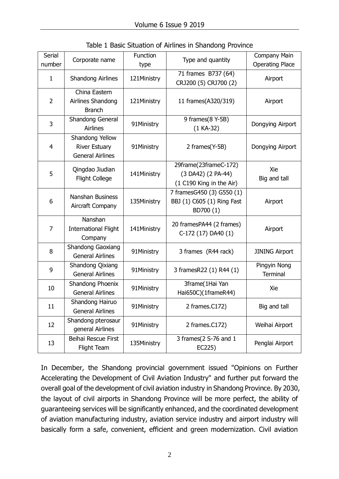| <b>Serial</b><br>number | Corporate name                                                     | Function<br>type | Type and quantity                                                       | Company Main<br><b>Operating Place</b> |
|-------------------------|--------------------------------------------------------------------|------------------|-------------------------------------------------------------------------|----------------------------------------|
| $\mathbf{1}$            | <b>Shandong Airlines</b>                                           | 121Ministry      | 71 frames B737 (64)<br>CRJ200 (5) CRJ700 (2)                            | Airport                                |
| $\overline{2}$          | China Eastern<br>Airlines Shandong<br><b>Branch</b>                | 121Ministry      | 11 frames(A320/319)                                                     | Airport                                |
| 3                       | Shandong General<br><b>Airlines</b>                                | 91Ministry       | 9 frames(8 Y-5B)<br>$(1 KA-32)$                                         | Dongying Airport                       |
| 4                       | Shandong Yellow<br><b>River Estuary</b><br><b>General Airlines</b> | 91Ministry       | 2 frames(Y-5B)                                                          | Dongying Airport                       |
| 5                       | Qingdao Jiudian<br>Flight College                                  | 141Ministry      | 29frame(23frameC-172)<br>(3 DA42) (2 PA-44)<br>(1 C190 King in the Air) | Xie<br>Big and tall                    |
| 6                       | Nanshan Business<br>Aircraft Company                               | 135Ministry      | 7 framesG450 (3) G550 (1)<br>BBJ (1) C605 (1) Ring Fast<br>BD700 (1)    | Airport                                |
| 7                       | Nanshan<br><b>International Flight</b><br>Company                  | 141Ministry      | 20 framesPA44 (2 frames)<br>C-172 (17) DA40 (1)                         | Airport                                |
| 8                       | <b>Shandong Gaoxiang</b><br><b>General Airlines</b>                | 91Ministry       | 3 frames (R44 rack)                                                     | <b>JINING Airport</b>                  |
| 9                       | Shandong Qixiang<br><b>General Airlines</b>                        | 91Ministry       | 3 framesR22 (1) R44 (1)                                                 | Pingyin Nong<br><b>Terminal</b>        |
| 10                      | Shandong Phoenix<br><b>General Airlines</b>                        | 91Ministry       | 3frame(1Hai Yan<br>Hai650C)(1frameR44)                                  | Xie                                    |
| 11                      | Shandong Hairuo<br><b>General Airlines</b>                         | 91Ministry       | 2 frames.C172)                                                          | Big and tall                           |
| 12                      | Shandong pterosaur<br>general Airlines                             | 91Ministry       | 2 frames.C172)                                                          | Weihai Airport                         |
| 13                      | Beihai Rescue First<br>Flight Team                                 | 135Ministry      | 3 frames(2 S-76 and 1<br>EC225)                                         | Penglai Airport                        |

Table 1 Basic Situation of Airlines in Shandong Province

In December, the Shandong provincial government issued "Opinions on Further Accelerating the Development of Civil Aviation Industry" and further put forward the overall goal of the development of civil aviation industry in Shandong Province. By 2030, the layout of civil airports in Shandong Province will be more perfect, the ability of guaranteeing services will be significantly enhanced, and the coordinated development of aviation manufacturing industry, aviation service industry and airport industry will basically form a safe, convenient, efficient and green modernization. Civil aviation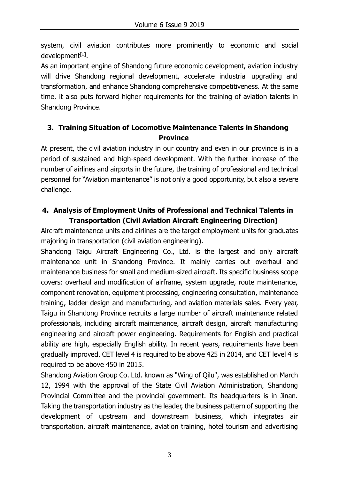system, civil aviation contributes more prominently to economic and social development<sup>[1]</sup>.

As an important engine of Shandong future economic development, aviation industry will drive Shandong regional development, accelerate industrial upgrading and transformation, and enhance Shandong comprehensive competitiveness. At the same time, it also puts forward higher requirements for the training of aviation talents in Shandong Province.

## **3. Training Situation of Locomotive Maintenance Talents in Shandong Province**

At present, the civil aviation industry in our country and even in our province is in a period of sustained and high-speed development. With the further increase of the number of airlines and airports in the future, the training of professional and technical personnel for "Aviation maintenance" is not only a good opportunity, but also a severe challenge.

### **4. Analysis of Employment Units of Professional and Technical Talents in Transportation (Civil Aviation Aircraft Engineering Direction)**

Aircraft maintenance units and airlines are the target employment units for graduates majoring in transportation (civil aviation engineering).

Shandong Taigu Aircraft Engineering Co., Ltd. is the largest and only aircraft maintenance unit in Shandong Province. It mainly carries out overhaul and maintenance business for small and medium-sized aircraft. Its specific business scope covers: overhaul and modification of airframe, system upgrade, route maintenance, component renovation, equipment processing, engineering consultation, maintenance training, ladder design and manufacturing, and aviation materials sales. Every year, Taigu in Shandong Province recruits a large number of aircraft maintenance related professionals, including aircraft maintenance, aircraft design, aircraft manufacturing engineering and aircraft power engineering. Requirements for English and practical ability are high, especially English ability. In recent years, requirements have been gradually improved. CET level 4 is required to be above 425 in 2014, and CET level 4 is required to be above 450 in 2015.

Shandong Aviation Group Co. Ltd. known as "Wing of Qilu", was established on March 12, 1994 with the approval of the State Civil Aviation Administration, Shandong Provincial Committee and the provincial government. Its headquarters is in Jinan. Taking the transportation industry as the leader, the business pattern of supporting the development of upstream and downstream business, which integrates air transportation, aircraft maintenance, aviation training, hotel tourism and advertising

3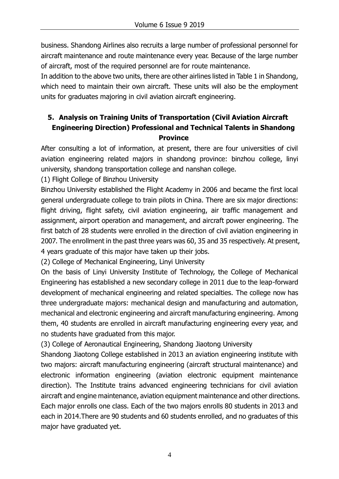business. Shandong Airlines also recruits a large number of professional personnel for aircraft maintenance and route maintenance every year. Because of the large number of aircraft, most of the required personnel are for route maintenance.

In addition to the above two units, there are other airlines listed in Table 1 in Shandong, which need to maintain their own aircraft. These units will also be the employment units for graduates majoring in civil aviation aircraft engineering.

# **5. Analysis on Training Units of Transportation (Civil Aviation Aircraft Engineering Direction) Professional and Technical Talents in Shandong Province**

After consulting a lot of information, at present, there are four universities of civil aviation engineering related majors in shandong province: binzhou college, linyi university, shandong transportation college and nanshan college.

(1) Flight College of Binzhou University

Binzhou University established the Flight Academy in 2006 and became the first local general undergraduate college to train pilots in China. There are six major directions: flight driving, flight safety, civil aviation engineering, air traffic management and assignment, airport operation and management, and aircraft power engineering. The first batch of 28 students were enrolled in the direction of civil aviation engineering in 2007. The enrollment in the past three years was 60, 35 and 35 respectively. At present, 4 years graduate of this major have taken up their jobs.

(2) College of Mechanical Engineering, Linyi University

On the basis of Linyi University Institute of Technology, the College of Mechanical Engineering has established a new secondary college in 2011 due to the leap-forward development of mechanical engineering and related specialties. The college now has three undergraduate majors: mechanical design and manufacturing and automation, mechanical and electronic engineering and aircraft manufacturing engineering. Among them, 40 students are enrolled in aircraft manufacturing engineering every year, and no students have graduated from this major.

(3) College of Aeronautical Engineering, Shandong Jiaotong University

Shandong Jiaotong College established in 2013 an aviation engineering institute with two majors: aircraft manufacturing engineering (aircraft structural maintenance) and electronic information engineering (aviation electronic equipment maintenance direction). The Institute trains advanced engineering technicians for civil aviation aircraft and engine maintenance, aviation equipment maintenance and other directions. Each major enrolls one class. Each of the two majors enrolls 80 students in 2013 and each in 2014.There are 90 students and 60 students enrolled, and no graduates of this major have graduated yet.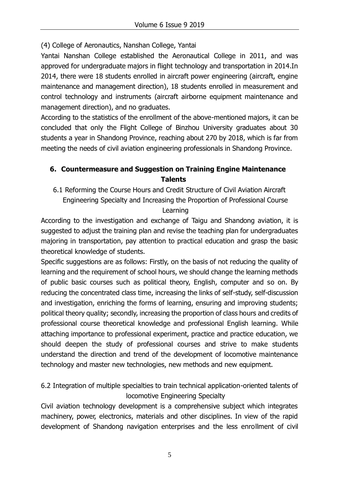(4) College of Aeronautics, Nanshan College, Yantai

Yantai Nanshan College established the Aeronautical College in 2011, and was approved for undergraduate majors in flight technology and transportation in 2014.In 2014, there were 18 students enrolled in aircraft power engineering (aircraft, engine maintenance and management direction), 18 students enrolled in measurement and control technology and instruments (aircraft airborne equipment maintenance and management direction), and no graduates.

According to the statistics of the enrollment of the above-mentioned majors, it can be concluded that only the Flight College of Binzhou University graduates about 30 students a year in Shandong Province, reaching about 270 by 2018, which is far from meeting the needs of civil aviation engineering professionals in Shandong Province.

## **6. Countermeasure and Suggestion on Training Engine Maintenance Talents**

6.1 Reforming the Course Hours and Credit Structure of Civil Aviation Aircraft Engineering Specialty and Increasing the Proportion of Professional Course

Learning

According to the investigation and exchange of Taigu and Shandong aviation, it is suggested to adjust the training plan and revise the teaching plan for undergraduates majoring in transportation, pay attention to practical education and grasp the basic theoretical knowledge of students.

Specific suggestions are as follows: Firstly, on the basis of not reducing the quality of learning and the requirement of school hours, we should change the learning methods of public basic courses such as political theory, English, computer and so on. By reducing the concentrated class time, increasing the links of self-study, self-discussion and investigation, enriching the forms of learning, ensuring and improving students; political theory quality; secondly, increasing the proportion of class hours and credits of professional course theoretical knowledge and professional English learning. While attaching importance to professional experiment, practice and practice education, we should deepen the study of professional courses and strive to make students understand the direction and trend of the development of locomotive maintenance technology and master new technologies, new methods and new equipment.

6.2 Integration of multiple specialties to train technical application-oriented talents of locomotive Engineering Specialty

Civil aviation technology development is a comprehensive subject which integrates machinery, power, electronics, materials and other disciplines. In view of the rapid development of Shandong navigation enterprises and the less enrollment of civil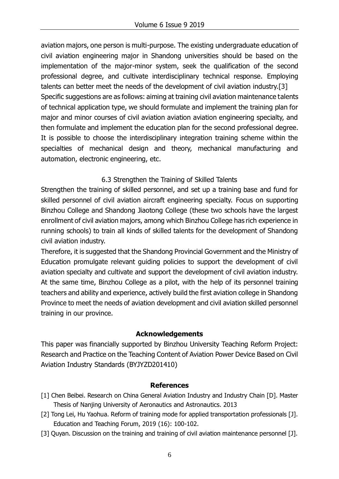aviation majors, one person is multi-purpose. The existing undergraduate education of civil aviation engineering major in Shandong universities should be based on the implementation of the major-minor system, seek the qualification of the second professional degree, and cultivate interdisciplinary technical response. Employing talents can better meet the needs of the development of civil aviation industry.[3] Specific suggestions are as follows: aiming at training civil aviation maintenance talents of technical application type, we should formulate and implement the training plan for major and minor courses of civil aviation aviation aviation engineering specialty, and then formulate and implement the education plan for the second professional degree. It is possible to choose the interdisciplinary integration training scheme within the specialties of mechanical design and theory, mechanical manufacturing and automation, electronic engineering, etc.

### 6.3 Strengthen the Training of Skilled Talents

Strengthen the training of skilled personnel, and set up a training base and fund for skilled personnel of civil aviation aircraft engineering specialty. Focus on supporting Binzhou College and Shandong Jiaotong College (these two schools have the largest enrollment of civil aviation majors, among which Binzhou College has rich experience in running schools) to train all kinds of skilled talents for the development of Shandong civil aviation industry.

Therefore, it is suggested that the Shandong Provincial Government and the Ministry of Education promulgate relevant guiding policies to support the development of civil aviation specialty and cultivate and support the development of civil aviation industry. At the same time, Binzhou College as a pilot, with the help of its personnel training teachers and ability and experience, actively build the first aviation college in Shandong Province to meet the needs of aviation development and civil aviation skilled personnel training in our province.

### **Acknowledgements**

This paper was financially supported by Binzhou University Teaching Reform Project: Research and Practice on the Teaching Content of Aviation Power Device Based on Civil Aviation Industry Standards (BYJYZD201410)

#### **References**

- [1] Chen Beibei. Research on China General Aviation Industry and Industry Chain [D]. Master Thesis of Nanjing University of Aeronautics and Astronautics. 2013
- [2] Tong Lei, Hu Yaohua. Reform of training mode for applied transportation professionals [J]. Education and Teaching Forum, 2019 (16): 100-102.
- [3] Quyan. Discussion on the training and training of civil aviation maintenance personnel [J].